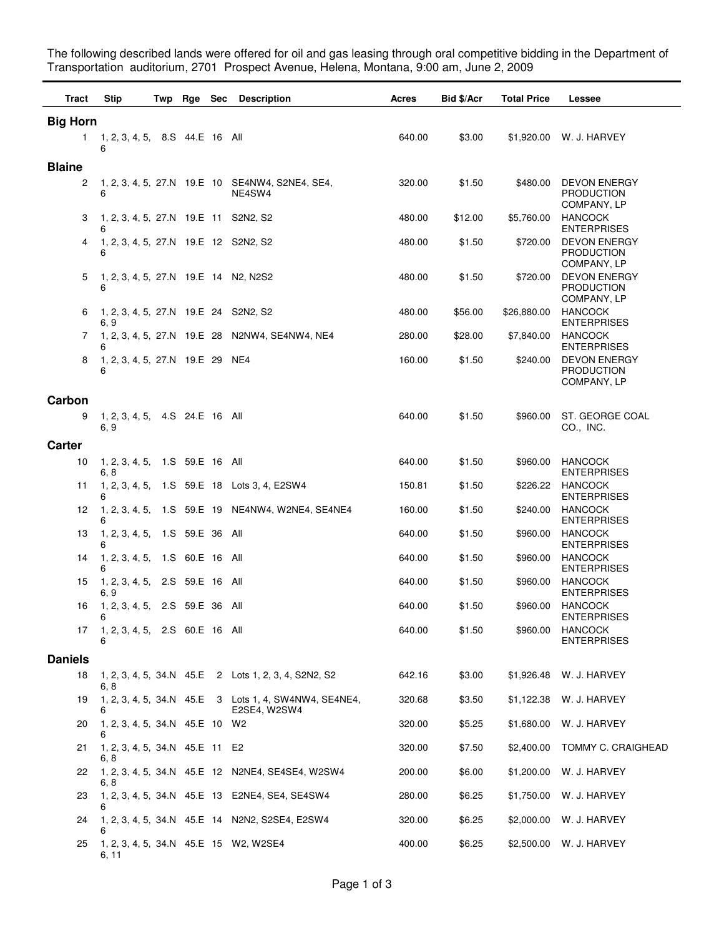The following described lands were offered for oil and gas leasing through oral competitive bidding in the Department of Transportation auditorium, 2701 Prospect Avenue, Helena, Montana, 9:00 am, June 2, 2009

| Tract           | Stip                                         |  |  |  | Twp Rge Sec Description                                                 | Acres  | <b>Bid \$/Acr</b> | <b>Total Price</b> | <b>Lessee</b>                                           |
|-----------------|----------------------------------------------|--|--|--|-------------------------------------------------------------------------|--------|-------------------|--------------------|---------------------------------------------------------|
| <b>Big Horn</b> |                                              |  |  |  |                                                                         |        |                   |                    |                                                         |
| 1.              | 1, 2, 3, 4, 5, 8.S 44.E 16 All<br>6          |  |  |  |                                                                         | 640.00 | \$3.00            |                    | \$1,920.00 W. J. HARVEY                                 |
| <b>Blaine</b>   |                                              |  |  |  |                                                                         |        |                   |                    |                                                         |
| 2               | 6                                            |  |  |  | 1, 2, 3, 4, 5, 27.N 19.E 10 SE4NW4, S2NE4, SE4,<br>NE4SW4               | 320.00 | \$1.50            | \$480.00           | <b>DEVON ENERGY</b><br>PRODUCTION<br>COMPANY, LP        |
| З               | 1, 2, 3, 4, 5, 27.N 19.E 11 S2N2, S2<br>6    |  |  |  |                                                                         | 480.00 | \$12.00           | \$5,760.00         | <b>HANCOCK</b><br><b>ENTERPRISES</b>                    |
| 4               | 1, 2, 3, 4, 5, 27.N 19.E 12 S2N2, S2<br>6    |  |  |  |                                                                         | 480.00 | \$1.50            | \$720.00           | <b>DEVON ENERGY</b><br>PRODUCTION<br>COMPANY, LP        |
| 5               | 1, 2, 3, 4, 5, 27.N 19.E 14 N2, N2S2<br>6    |  |  |  |                                                                         | 480.00 | \$1.50            | \$720.00           | <b>DEVON ENERGY</b><br><b>PRODUCTION</b><br>COMPANY, LP |
| 6               | 1, 2, 3, 4, 5, 27.N 19.E 24 S2N2, S2<br>6. 9 |  |  |  |                                                                         | 480.00 | \$56.00           | \$26,880.00        | <b>HANCOCK</b><br><b>ENTERPRISES</b>                    |
| 7               | 6                                            |  |  |  | 1, 2, 3, 4, 5, 27.N 19.E 28 N2NW4, SE4NW4, NE4                          | 280.00 | \$28.00           | \$7,840.00         | <b>HANCOCK</b><br><b>ENTERPRISES</b>                    |
| 8               | 1, 2, 3, 4, 5, 27.N 19.E 29 NE4<br>6         |  |  |  |                                                                         | 160.00 | \$1.50            | \$240.00           | <b>DEVON ENERGY</b><br><b>PRODUCTION</b><br>COMPANY, LP |
| Carbon          |                                              |  |  |  |                                                                         |        |                   |                    |                                                         |
| 9               | 1, 2, 3, 4, 5, 4. S 24. E 16 All<br>6, 9     |  |  |  |                                                                         | 640.00 | \$1.50            | \$960.00           | ST. GEORGE COAL<br>CO., INC.                            |
| Carter          |                                              |  |  |  |                                                                         |        |                   |                    |                                                         |
| 10              | 1, 2, 3, 4, 5, 1.S 59.E 16 All<br>6, 8       |  |  |  |                                                                         | 640.00 | \$1.50            | \$960.00           | <b>HANCOCK</b><br><b>ENTERPRISES</b>                    |
| 11              | 6                                            |  |  |  | 1, 2, 3, 4, 5, 1.S 59.E 18 Lots 3, 4, E2SW4                             | 150.81 | \$1.50            | \$226.22           | <b>HANCOCK</b><br><b>ENTERPRISES</b>                    |
| 12              | 6                                            |  |  |  | 1, 2, 3, 4, 5, 1.S 59.E 19 NE4NW4, W2NE4, SE4NE4                        | 160.00 | \$1.50            | \$240.00           | <b>HANCOCK</b><br><b>ENTERPRISES</b>                    |
| 13              | 1, 2, 3, 4, 5, 1.S 59.E 36 All<br>6          |  |  |  |                                                                         | 640.00 | \$1.50            | \$960.00           | <b>HANCOCK</b><br><b>ENTERPRISES</b>                    |
| 14              | 1, 2, 3, 4, 5, 1.S 60.E 16 All<br>6          |  |  |  |                                                                         | 640.00 | \$1.50            | \$960.00           | <b>HANCOCK</b><br><b>ENTERPRISES</b>                    |
| 15              | 1, 2, 3, 4, 5, 2.S 59.E 16 All<br>6.9        |  |  |  |                                                                         | 640.00 | \$1.50            | \$960.00           | <b>HANCOCK</b><br><b>ENTERPRISES</b>                    |
| 16              | 1, 2, 3, 4, 5, 2.S 59.E 36 All               |  |  |  |                                                                         | 640.00 | \$1.50            | \$960.00           | <b>HANCOCK</b><br><b>ENTERPRISES</b>                    |
| 17              | 1, 2, 3, 4, 5, 2.S 60.E 16 All<br>6          |  |  |  |                                                                         | 640.00 | \$1.50            | \$960.00           | <b>HANCOCK</b><br><b>ENTERPRISES</b>                    |
| <b>Daniels</b>  |                                              |  |  |  |                                                                         |        |                   |                    |                                                         |
| 18              | 6, 8                                         |  |  |  | 1, 2, 3, 4, 5, 34.N 45.E 2 Lots 1, 2, 3, 4, S2N2, S2                    | 642.16 | \$3.00            | \$1,926.48         | W. J. HARVEY                                            |
| 19              | 6                                            |  |  |  | 1, 2, 3, 4, 5, 34. N 45. E 3 Lots 1, 4, SW4NW4, SE4NE4,<br>E2SE4, W2SW4 | 320.68 | \$3.50            | \$1,122.38         | W. J. HARVEY                                            |
| 20              | 1, 2, 3, 4, 5, 34.N 45.E 10 W2<br>6          |  |  |  |                                                                         | 320.00 | \$5.25            | \$1,680.00         | W. J. HARVEY                                            |
| 21              | 1, 2, 3, 4, 5, 34.N 45.E 11 E2<br>6, 8       |  |  |  |                                                                         | 320.00 | \$7.50            | \$2,400.00         | TOMMY C. CRAIGHEAD                                      |
| 22              | 6.8                                          |  |  |  | 1, 2, 3, 4, 5, 34.N 45.E 12 N2NE4, SE4SE4, W2SW4                        | 200.00 | \$6.00            | \$1,200.00         | W. J. HARVEY                                            |
| 23              | 6                                            |  |  |  | 1, 2, 3, 4, 5, 34.N 45.E 13 E2NE4, SE4, SE4SW4                          | 280.00 | \$6.25            | \$1,750.00         | W. J. HARVEY                                            |
| 24              | 6                                            |  |  |  | 1, 2, 3, 4, 5, 34. N 45. E 14 N2N2, S2SE4, E2SW4                        | 320.00 | \$6.25            | \$2,000.00         | W. J. HARVEY                                            |
| 25              | 6, 11                                        |  |  |  | 1, 2, 3, 4, 5, 34.N 45.E 15 W2, W2SE4                                   | 400.00 | \$6.25            | \$2,500.00         | W. J. HARVEY                                            |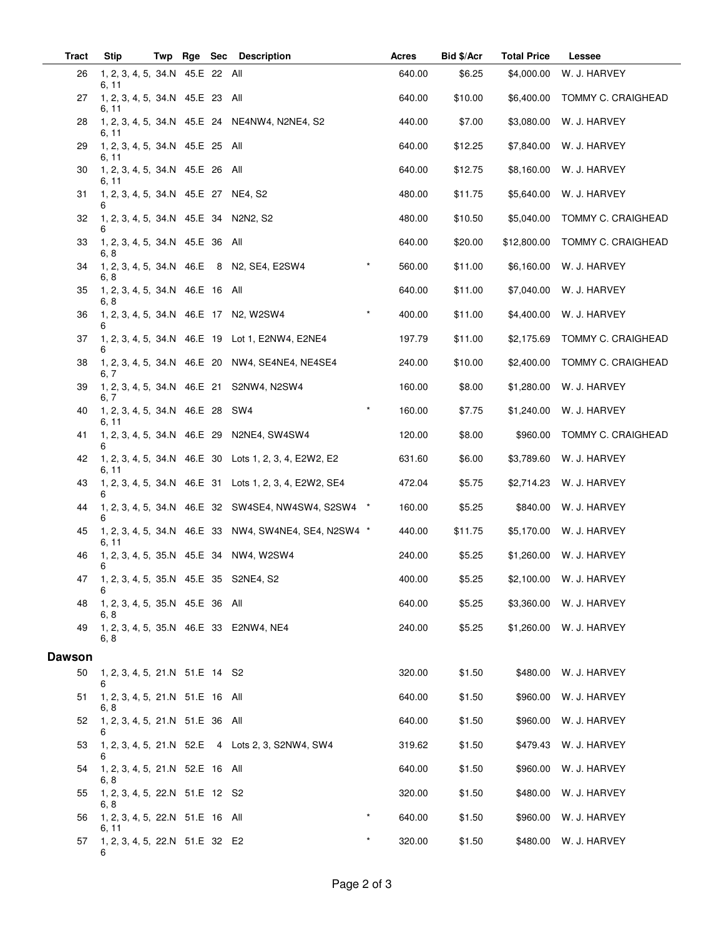| <b>Tract</b>  | <b>Stip</b>                                   | Twp |  |  | Rge Sec Description                                      |         | Acres  | Bid \$/Acr | <b>Total Price</b> | <b>Lessee</b>           |
|---------------|-----------------------------------------------|-----|--|--|----------------------------------------------------------|---------|--------|------------|--------------------|-------------------------|
| 26            | 1, 2, 3, 4, 5, 34.N 45.E 22 All<br>6, 11      |     |  |  |                                                          |         | 640.00 | \$6.25     | \$4,000.00         | W. J. HARVEY            |
| 27            | 1, 2, 3, 4, 5, 34.N 45.E 23 All<br>6, 11      |     |  |  |                                                          |         | 640.00 | \$10.00    | \$6,400.00         | TOMMY C. CRAIGHEAD      |
| 28            | 6, 11                                         |     |  |  | 1, 2, 3, 4, 5, 34.N 45.E 24 NE4NW4, N2NE4, S2            |         | 440.00 | \$7.00     | \$3,080.00         | W. J. HARVEY            |
| 29            | 1, 2, 3, 4, 5, 34.N 45.E 25 All<br>6, 11      |     |  |  |                                                          |         | 640.00 | \$12.25    | \$7,840.00         | W. J. HARVEY            |
| 30            | 1, 2, 3, 4, 5, 34.N 45.E 26 All<br>6, 11      |     |  |  |                                                          |         | 640.00 | \$12.75    | \$8,160.00         | W. J. HARVEY            |
| 31            | 1, 2, 3, 4, 5, 34.N 45.E 27 NE4, S2<br>6      |     |  |  |                                                          |         | 480.00 | \$11.75    | \$5,640.00         | W. J. HARVEY            |
| 32            | 1, 2, 3, 4, 5, 34. N 45. E 34 N2N2, S2        |     |  |  |                                                          |         | 480.00 | \$10.50    | \$5,040.00         | TOMMY C. CRAIGHEAD      |
| 33            | 1, 2, 3, 4, 5, 34.N 45.E 36 All<br>6, 8       |     |  |  |                                                          |         | 640.00 | \$20.00    | \$12,800.00        | TOMMY C. CRAIGHEAD      |
| 34            | 6, 8                                          |     |  |  | 1, 2, 3, 4, 5, 34.N 46.E 8 N2, SE4, E2SW4                |         | 560.00 | \$11.00    | \$6,160.00         | W. J. HARVEY            |
| 35            | 1, 2, 3, 4, 5, 34.N 46.E 16 All<br>6, 8       |     |  |  |                                                          |         | 640.00 | \$11.00    | \$7,040.00         | W. J. HARVEY            |
| 36            | 6                                             |     |  |  | 1, 2, 3, 4, 5, 34.N 46.E 17 N2, W2SW4                    |         | 400.00 | \$11.00    | \$4,400.00         | W. J. HARVEY            |
| 37            | 6                                             |     |  |  | 1, 2, 3, 4, 5, 34.N 46.E 19 Lot 1, E2NW4, E2NE4          |         | 197.79 | \$11.00    | \$2,175.69         | TOMMY C. CRAIGHEAD      |
| 38            | 6, 7                                          |     |  |  | 1, 2, 3, 4, 5, 34. N 46. E 20 NW4, SE4NE4, NE4SE4        |         | 240.00 | \$10.00    | \$2,400.00         | TOMMY C. CRAIGHEAD      |
| 39            | 6, 7                                          |     |  |  | 1, 2, 3, 4, 5, 34.N 46.E 21 S2NW4, N2SW4                 |         | 160.00 | \$8.00     | \$1,280.00         | W. J. HARVEY            |
| 40            | 1, 2, 3, 4, 5, 34.N 46.E 28 SW4<br>6, 11      |     |  |  |                                                          | $\star$ | 160.00 | \$7.75     | \$1,240.00         | W. J. HARVEY            |
| 41            | 6                                             |     |  |  | 1, 2, 3, 4, 5, 34.N 46.E 29 N2NE4, SW4SW4                |         | 120.00 | \$8.00     | \$960.00           | TOMMY C. CRAIGHEAD      |
| 42            | 6, 11                                         |     |  |  | 1, 2, 3, 4, 5, 34.N 46.E 30 Lots 1, 2, 3, 4, E2W2, E2    |         | 631.60 | \$6.00     | \$3,789.60         | W. J. HARVEY            |
| 43            | 6                                             |     |  |  | 1, 2, 3, 4, 5, 34. N 46. E 31 Lots 1, 2, 3, 4, E2W2, SE4 |         | 472.04 | \$5.75     | \$2,714.23         | W. J. HARVEY            |
| 44            | 6                                             |     |  |  | 1, 2, 3, 4, 5, 34.N 46.E 32 SW4SE4, NW4SW4, S2SW4 *      |         | 160.00 | \$5.25     | \$840.00           | W. J. HARVEY            |
| 45            | 6, 11                                         |     |  |  | 1, 2, 3, 4, 5, 34.N 46.E 33 NW4, SW4NE4, SE4, N2SW4 *    |         | 440.00 | \$11.75    | \$5,170.00         | W. J. HARVEY            |
| 46            | 6                                             |     |  |  | 1, 2, 3, 4, 5, 35.N 45.E 34 NW4, W2SW4                   |         | 240.00 | \$5.25     |                    | \$1,260.00 W. J. HARVEY |
|               | 47 1, 2, 3, 4, 5, 35.N 45.E 35 S2NE4, S2<br>6 |     |  |  |                                                          |         | 400.00 | \$5.25     |                    | \$2,100.00 W. J. HARVEY |
| 48            | 1, 2, 3, 4, 5, 35.N 45.E 36 All<br>6, 8       |     |  |  |                                                          |         | 640.00 | \$5.25     |                    | \$3,360.00 W. J. HARVEY |
| 49            | 6, 8                                          |     |  |  | 1, 2, 3, 4, 5, 35.N 46.E 33 E2NW4, NE4                   |         | 240.00 | \$5.25     |                    | \$1,260.00 W. J. HARVEY |
| <b>Dawson</b> |                                               |     |  |  |                                                          |         |        |            |                    |                         |
| 50            | 1, 2, 3, 4, 5, 21.N 51.E 14 S2<br>6           |     |  |  |                                                          |         | 320.00 | \$1.50     |                    | \$480.00 W. J. HARVEY   |
| 51            | 1, 2, 3, 4, 5, 21.N 51.E 16 All<br>6, 8       |     |  |  |                                                          |         | 640.00 | \$1.50     |                    | \$960.00 W. J. HARVEY   |
| 52            | 1, 2, 3, 4, 5, 21.N 51.E 36 All               |     |  |  |                                                          |         | 640.00 | \$1.50     |                    | \$960.00 W. J. HARVEY   |
| 53            | 6                                             |     |  |  | 1, 2, 3, 4, 5, 21.N 52.E 4 Lots 2, 3, S2NW4, SW4         |         | 319.62 | \$1.50     |                    | \$479.43 W. J. HARVEY   |
| 54            | 1, 2, 3, 4, 5, 21.N 52.E 16 All<br>6, 8       |     |  |  |                                                          |         | 640.00 | \$1.50     | \$960.00           | W. J. HARVEY            |
| 55            | 1, 2, 3, 4, 5, 22.N 51.E 12 S2<br>6, 8        |     |  |  |                                                          |         | 320.00 | \$1.50     |                    | \$480.00 W. J. HARVEY   |
| 56            | 1, 2, 3, 4, 5, 22.N 51.E 16 All<br>6, 11      |     |  |  |                                                          |         | 640.00 | \$1.50     |                    | \$960.00 W. J. HARVEY   |
| 57            | 1, 2, 3, 4, 5, 22.N 51.E 32 E2<br>6           |     |  |  |                                                          | $\star$ | 320.00 | \$1.50     |                    | \$480.00 W. J. HARVEY   |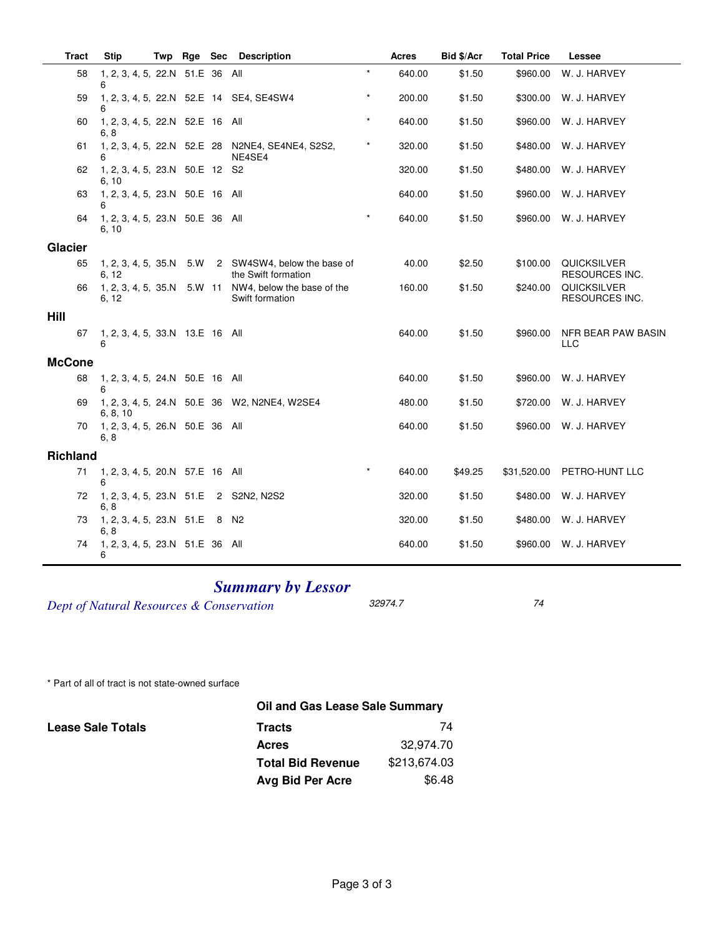| <b>Tract</b>    |    | <b>Stip</b>                              | Twp | Rge    | Sec | <b>Description</b>                                         |         | <b>Acres</b> | Bid \$/Acr | <b>Total Price</b> | Lessee                                      |
|-----------------|----|------------------------------------------|-----|--------|-----|------------------------------------------------------------|---------|--------------|------------|--------------------|---------------------------------------------|
|                 | 58 | 1, 2, 3, 4, 5, 22.N 51.E 36 All<br>6     |     |        |     |                                                            | $\star$ | 640.00       | \$1.50     | \$960.00           | W. J. HARVEY                                |
|                 | 59 | 6                                        |     |        |     | 1, 2, 3, 4, 5, 22.N 52.E 14 SE4, SE4SW4                    | $\star$ | 200.00       | \$1.50     | \$300.00           | W. J. HARVEY                                |
|                 | 60 | 1, 2, 3, 4, 5, 22.N 52.E 16 All<br>6.8   |     |        |     |                                                            | $\star$ | 640.00       | \$1.50     | \$960.00           | W. J. HARVEY                                |
|                 | 61 | 6                                        |     |        |     | 1, 2, 3, 4, 5, 22.N 52.E 28 N2NE4, SE4NE4, S2S2,<br>NE4SE4 | $\star$ | 320.00       | \$1.50     | \$480.00           | W. J. HARVEY                                |
|                 | 62 | 1, 2, 3, 4, 5, 23.N 50.E 12 S2<br>6, 10  |     |        |     |                                                            |         | 320.00       | \$1.50     | \$480.00           | W. J. HARVEY                                |
|                 | 63 | 1, 2, 3, 4, 5, 23.N 50.E 16 All<br>6     |     |        |     |                                                            |         | 640.00       | \$1.50     | \$960.00           | W. J. HARVEY                                |
|                 | 64 | 1, 2, 3, 4, 5, 23.N 50.E 36 All<br>6, 10 |     |        |     |                                                            |         | 640.00       | \$1.50     | \$960.00           | W. J. HARVEY                                |
| Glacier         |    |                                          |     |        |     |                                                            |         |              |            |                    |                                             |
|                 | 65 | 1, 2, 3, 4, 5, 35.N<br>6.12              |     | 5.W    |     | 2 SW4SW4, below the base of<br>the Swift formation         |         | 40.00        | \$2.50     | \$100.00           | <b>QUICKSILVER</b><br><b>RESOURCES INC.</b> |
|                 | 66 | 1, 2, 3, 4, 5, 35.N<br>6, 12             |     | 5.W 11 |     | NW4, below the base of the<br>Swift formation              |         | 160.00       | \$1.50     | \$240.00           | QUICKSILVER<br><b>RESOURCES INC.</b>        |
| Hill            |    |                                          |     |        |     |                                                            |         |              |            |                    |                                             |
|                 | 67 | 1, 2, 3, 4, 5, 33.N 13.E 16 All<br>6     |     |        |     |                                                            |         | 640.00       | \$1.50     | \$960.00           | NFR BEAR PAW BASIN<br><b>LLC</b>            |
| <b>McCone</b>   |    |                                          |     |        |     |                                                            |         |              |            |                    |                                             |
|                 | 68 | 1, 2, 3, 4, 5, 24.N 50.E 16 All<br>6     |     |        |     |                                                            |         | 640.00       | \$1.50     | \$960.00           | W. J. HARVEY                                |
|                 | 69 | 6, 8, 10                                 |     |        |     | 1, 2, 3, 4, 5, 24.N 50.E 36 W2, N2NE4, W2SE4               |         | 480.00       | \$1.50     | \$720.00           | W. J. HARVEY                                |
|                 | 70 | 1, 2, 3, 4, 5, 26.N 50.E 36 All<br>6, 8  |     |        |     |                                                            |         | 640.00       | \$1.50     | \$960.00           | W. J. HARVEY                                |
| <b>Richland</b> |    |                                          |     |        |     |                                                            |         |              |            |                    |                                             |
|                 | 71 | 1, 2, 3, 4, 5, 20.N 57.E 16 All<br>6     |     |        |     |                                                            | $\star$ | 640.00       | \$49.25    | \$31,520.00        | PETRO-HUNT LLC                              |
|                 | 72 | 1, 2, 3, 4, 5, 23.N 51.E<br>6, 8         |     |        |     | 2 S2N2, N2S2                                               |         | 320.00       | \$1.50     | \$480.00           | W. J. HARVEY                                |
|                 | 73 | 1, 2, 3, 4, 5, 23.N 51.E<br>6, 8         |     |        |     | 8 N <sub>2</sub>                                           |         | 320.00       | \$1.50     | \$480.00           | W. J. HARVEY                                |
|                 | 74 | 1, 2, 3, 4, 5, 23.N 51.E 36 All<br>6     |     |        |     |                                                            |         | 640.00       | \$1.50     | \$960.00           | W. J. HARVEY                                |

## *Summary by Lessor*

*Dept of Natural Resources & Conservation* 32974.7 74

\* Part of all of tract is not state-owned surface

|                          | Oil and Gas Lease Sale Summary |              |  |
|--------------------------|--------------------------------|--------------|--|
| <b>Lease Sale Totals</b> | <b>Tracts</b>                  | 74           |  |
|                          | <b>Acres</b>                   | 32.974.70    |  |
|                          | <b>Total Bid Revenue</b>       | \$213,674.03 |  |
|                          | Avg Bid Per Acre               | \$6.48       |  |
|                          |                                |              |  |